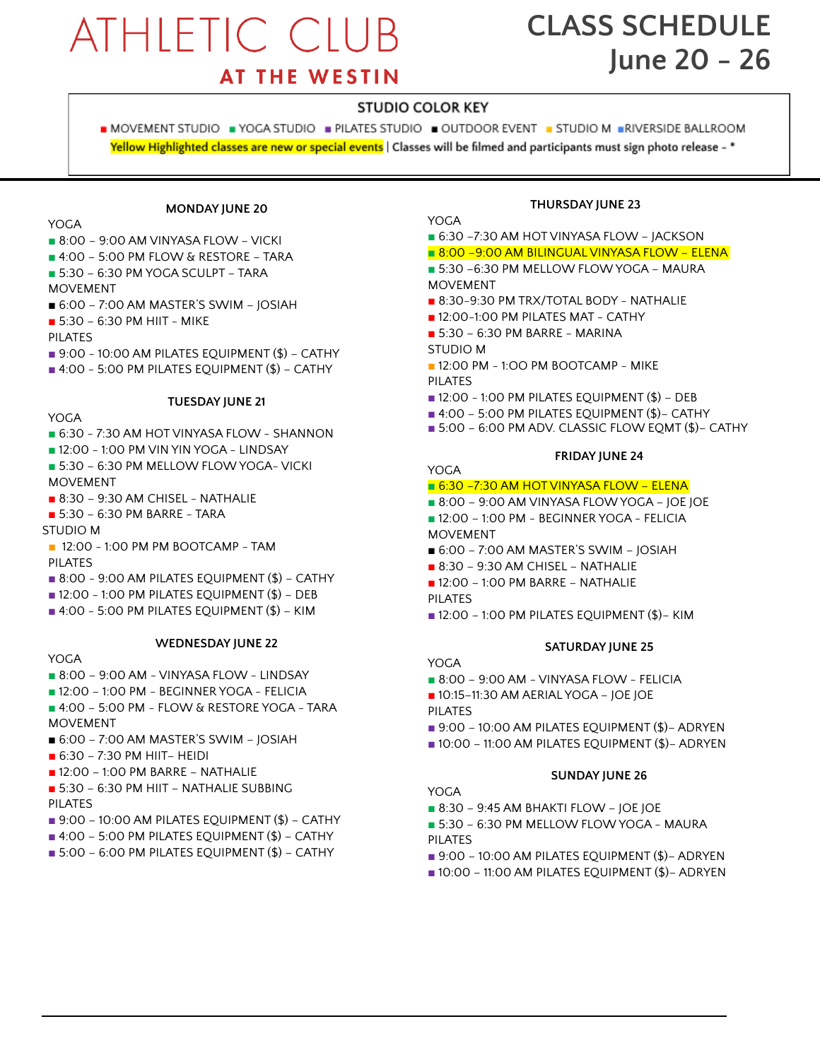# **ATHLETIC CLUB**

## **CLASS SCHEDULE June 20 - 26**

## **AT THE WESTIN**

### **STUDIO COLOR KEY**

■ MOVEMENT STUDIO ■ YOGA STUDIO ■ PILATES STUDIO ■ OUTDOOR EVENT ■ STUDIO M ■RIVERSIDE BALLROOM Yellow Highlighted classes are new or special events | Classes will be filmed and participants must sign photo release - \*

### **MONDAY JUNE 20**

YOGA

- 8:00 9:00 AM VINYASA FLOW VICKI
- 4:00 5:00 PM FLOW & RESTORE TARA
- $\blacksquare$  5:30 6:30 PM YOGA SCULPT TARA
- MOVEMENT
- 6:00 7:00 AM MASTER'S SWIM JOSIAH
- 5:30 6:30 PM HIIT MIKE
- PILATES
- $\blacksquare$  9:00 10:00 AM PILATES EQUIPMENT (\$) CATHY
- 4:00 5:00 PM PILATES EQUIPMENT (\$) CATHY

### **TUESDAY JUNE 21**

### YOGA

- 6:30 7:30 AM HOT VINYASA FLOW SHANNON
- 12:00 1:00 PM VIN YIN YOGA LINDSAY
- 5:30 6:30 PM MELLOW FLOW YOGA- VICKI MOVEMENT
- 8:30 9:30 AM CHISEL NATHALIE
- 5:30 6:30 PM BARRE TARA
- STUDIO M
- 12:00 1:00 PM PM BOOTCAMP TAM PILATES
- $\blacksquare$  8:00 9:00 AM PILATES EQUIPMENT (\$) CATHY
- 12:00 1:00 PM PILATES EQUIPMENT (\$) DEB
- $\blacksquare$  4:00 5:00 PM PILATES EQUIPMENT (\$) KIM

### **WEDNESDAY JUNE 22**

### YOGA

- 8:00 9:00 AM VINYASA FLOW LINDSAY
- 12:00 1:00 PM BEGINNER YOGA FELICIA
- 4:00 5:00 PM FLOW & RESTORE YOGA TARA MOVEMENT
- 6:00 7:00 AM MASTER'S SWIM JOSIAH
- $\blacksquare$  6:30 7:30 PM HIIT– HEIDI
- 12:00 1:00 PM BARRE NATHALIE
- 5:30 6:30 PM HIIT NATHALIE SUBBING PILATES
- $\blacksquare$  9:00 10:00 AM PILATES EQUIPMENT (\$) CATHY
- $\blacksquare$  4:00 5:00 PM PILATES EQUIPMENT (\$) CATHY
- 5:00 6:00 PM PILATES EQUIPMENT (\$) CATHY

### **THURSDAY JUNE 23**

### YOGA.

- 6:30 -7:30 AM HOT VINYASA FLOW JACKSON
- 8:00 –9:00 AM BILINGUAL VINYASA FLOW ELENA
- 5:30 –6:30 PM MELLOW FLOWYOGA MAURA MOVEMENT
- 8:30-9:30 PM TRX/TOTAL BODY NATHALIE
- 12:00-1:00 PM PILATES MAT CATHY
- 5:30 6:30 PM BARRE MARINA
- STUDIO M

YOGA

- 12:00 PM 1:00 PM BOOTCAMP MIKE PILATES
- $\blacksquare$  12:00 1:00 PM PILATES EQUIPMENT (\$) DEB
- 4:00 5:00 PM PILATES EQUIPMENT (\$)– CATHY
- 5:00 6:00 PM ADV. CLASSIC FLOW EQMT (\$)– CATHY

### **FRIDAY JUNE 24**

### ■ 6:30 -7:30 AM HOT VINYASA FLOW - ELENA

- 8:00 9:00 AM VINYASA FLOW YOGA JOE JOE
- 12:00 1:00 PM BEGINNER YOGA FELICIA MOVEMENT
- 
- 6:00 7:00 AM MASTER'S SWIM JOSIAH
- **■** 8:30 9:30 AM CHISEL NATHALIE
- **■** 12:00 1:00 PM BARRE NATHALIE PILATES
- $\blacksquare$  12:00 1:00 PM PILATES EQUIPMENT (\$)– KIM

### **SATURDAY JUNE 25**

- YOGA
- 8:00 9:00 AM VINYASA FLOW FELICIA
- 10:15-11:30 AM AERIAL YOGA JOE JOE
- PILATES
- 9:00 10:00 AM PILATES EQUIPMENT (\$)- ADRYEN
- 10:00 11:00 AM PILATES EQUIPMENT (\$)- ADRYEN

### **SUNDAY JUNE 26**

- YOGA
- 8:30 9:45 AM BHAKTI FLOW JOE JOE
- 5:30 6:30 PM MELLOW FLOW YOGA MAURA PILATES
- 9:00 10:00 AM PILATES EQUIPMENT (\$)– ADRYEN
- 10:00 11:00 AM PILATES EQUIPMENT (\$)– ADRYEN